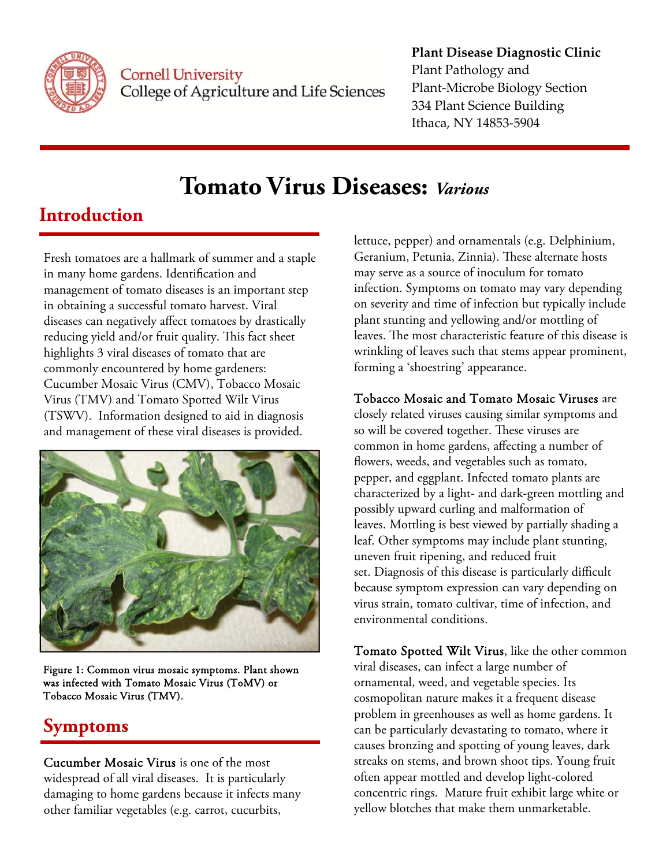

**Cornell University** College of Agriculture and Life Sciences

#### **Plant Disease Diagnostic Clinic** Plant Pathology and Plant‐Microbe Biology Section 334 Plant Science Building Ithaca, NY 14853‐5904

# **Tomato Virus Diseases:** *Various*

### **Introduction**

Fresh tomatoes are a hallmark of summer and a staple in many home gardens. Identification and management of tomato diseases is an important step in obtaining a successful tomato harvest. Viral diseases can negatively affect tomatoes by drastically reducing yield and/or fruit quality. This fact sheet highlights 3 viral diseases of tomato that are commonly encountered by home gardeners: Cucumber Mosaic Virus (CMV), Tobacco Mosaic Virus (TMV) and Tomato Spotted Wilt Virus (TSWV). Information designed to aid in diagnosis and management of these viral diseases is provided.



Figure 1: Common virus mosaic symptoms. Plant shown was infected with Tomato Mosaic Virus (ToMV) or Tobacco Mosaic Virus (TMV).

## **Symptoms**

Cucumber Mosaic Virus is one of the most widespread of all viral diseases. It is particularly damaging to home gardens because it infects many other familiar vegetables (e.g. carrot, cucurbits,

lettuce, pepper) and ornamentals (e.g. Delphinium, Geranium, Petunia, Zinnia). These alternate hosts may serve as a source of inoculum for tomato infection. Symptoms on tomato may vary depending on severity and time of infection but typically include plant stunting and yellowing and/or mottling of leaves. The most characteristic feature of this disease is wrinkling of leaves such that stems appear prominent, forming a 'shoestring' appearance.

#### Tobacco Mosaic and Tomato Mosaic Viruses are

closely related viruses causing similar symptoms and so will be covered together. These viruses are common in home gardens, affecting a number of flowers, weeds, and vegetables such as tomato, pepper, and eggplant. Infected tomato plants are characterized by a light- and dark-green mottling and possibly upward curling and malformation of leaves. Mottling is best viewed by partially shading a leaf. Other symptoms may include plant stunting, uneven fruit ripening, and reduced fruit set. Diagnosis of this disease is particularly difficult because symptom expression can vary depending on virus strain, tomato cultivar, time of infection, and environmental conditions.

Tomato Spotted Wilt Virus, like the other common viral diseases, can infect a large number of ornamental, weed, and vegetable species. Its cosmopolitan nature makes it a frequent disease problem in greenhouses as well as home gardens. It can be particularly devastating to tomato, where it causes bronzing and spotting of young leaves, dark streaks on stems, and brown shoot tips. Young fruit often appear mottled and develop light-colored concentric rings. Mature fruit exhibit large white or yellow blotches that make them unmarketable.